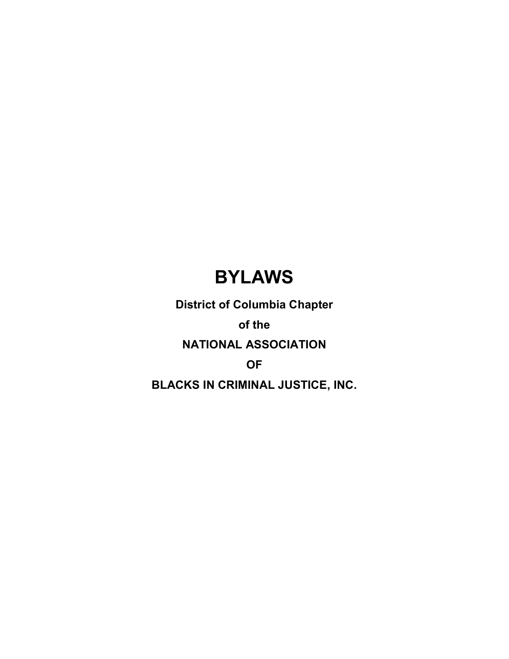# **BYLAWS**

**District of Columbia Chapter**

**of the** 

**NATIONAL ASSOCIATION** 

**OF** 

**BLACKS IN CRIMINAL JUSTICE, INC.**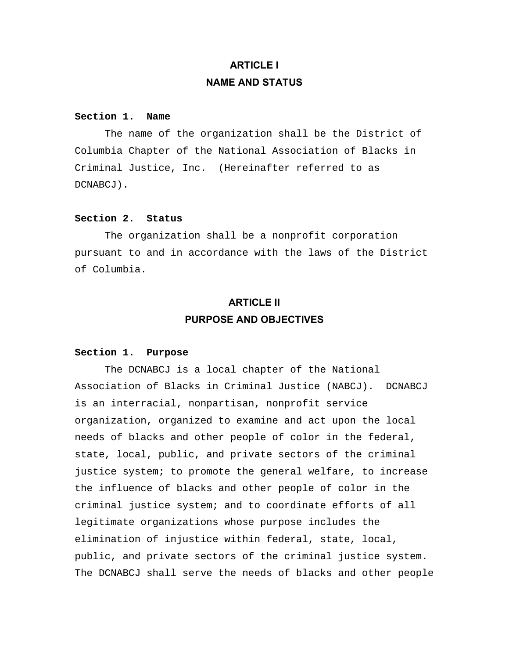# **ARTICLE I NAME AND STATUS**

#### **Section 1. Name**

 The name of the organization shall be the District of Columbia Chapter of the National Association of Blacks in Criminal Justice, Inc. (Hereinafter referred to as DCNABCJ).

### **Section 2. Status**

 The organization shall be a nonprofit corporation pursuant to and in accordance with the laws of the District of Columbia.

# **ARTICLE II PURPOSE AND OBJECTIVES**

# **Section 1. Purpose**

 The DCNABCJ is a local chapter of the National Association of Blacks in Criminal Justice (NABCJ). DCNABCJ is an interracial, nonpartisan, nonprofit service organization, organized to examine and act upon the local needs of blacks and other people of color in the federal, state, local, public, and private sectors of the criminal justice system; to promote the general welfare, to increase the influence of blacks and other people of color in the criminal justice system; and to coordinate efforts of all legitimate organizations whose purpose includes the elimination of injustice within federal, state, local, public, and private sectors of the criminal justice system. The DCNABCJ shall serve the needs of blacks and other people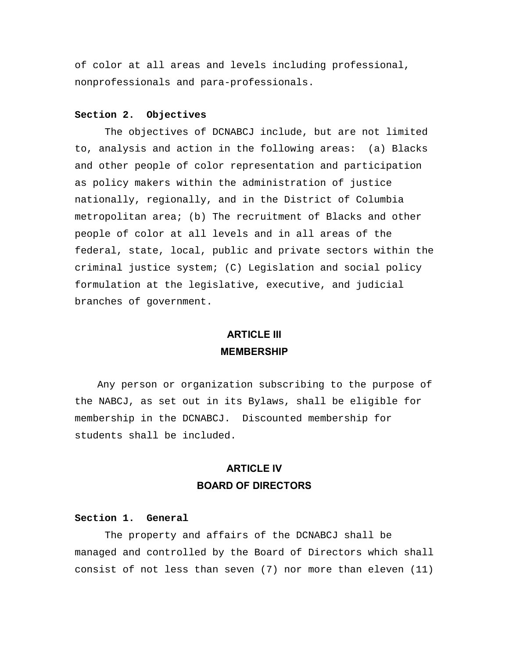of color at all areas and levels including professional, nonprofessionals and para-professionals.

# **Section 2. Objectives**

 The objectives of DCNABCJ include, but are not limited to, analysis and action in the following areas: (a) Blacks and other people of color representation and participation as policy makers within the administration of justice nationally, regionally, and in the District of Columbia metropolitan area; (b) The recruitment of Blacks and other people of color at all levels and in all areas of the federal, state, local, public and private sectors within the criminal justice system; (C) Legislation and social policy formulation at the legislative, executive, and judicial branches of government.

# **ARTICLE III MEMBERSHIP**

 Any person or organization subscribing to the purpose of the NABCJ, as set out in its Bylaws, shall be eligible for membership in the DCNABCJ. Discounted membership for students shall be included.

# **ARTICLE IV BOARD OF DIRECTORS**

#### **Section 1. General**

 The property and affairs of the DCNABCJ shall be managed and controlled by the Board of Directors which shall consist of not less than seven (7) nor more than eleven (11)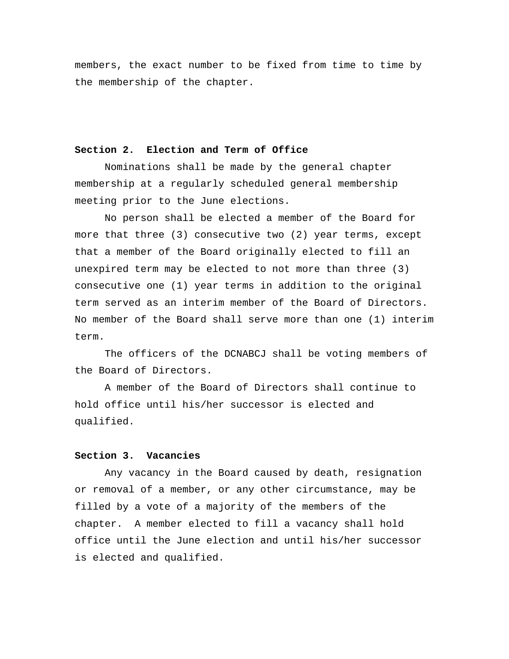members, the exact number to be fixed from time to time by the membership of the chapter.

#### **Section 2. Election and Term of Office**

 Nominations shall be made by the general chapter membership at a regularly scheduled general membership meeting prior to the June elections.

 No person shall be elected a member of the Board for more that three (3) consecutive two (2) year terms, except that a member of the Board originally elected to fill an unexpired term may be elected to not more than three (3) consecutive one (1) year terms in addition to the original term served as an interim member of the Board of Directors. No member of the Board shall serve more than one (1) interim term.

 The officers of the DCNABCJ shall be voting members of the Board of Directors.

 A member of the Board of Directors shall continue to hold office until his/her successor is elected and qualified.

#### **Section 3. Vacancies**

 Any vacancy in the Board caused by death, resignation or removal of a member, or any other circumstance, may be filled by a vote of a majority of the members of the chapter. A member elected to fill a vacancy shall hold office until the June election and until his/her successor is elected and qualified.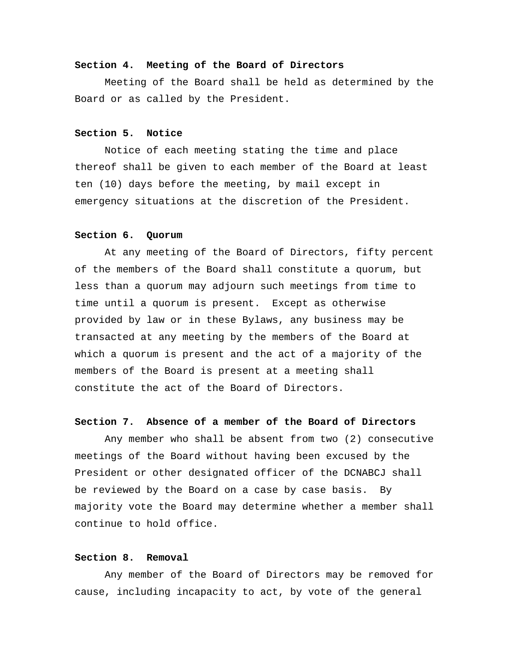### **Section 4. Meeting of the Board of Directors**

 Meeting of the Board shall be held as determined by the Board or as called by the President.

### **Section 5. Notice**

 Notice of each meeting stating the time and place thereof shall be given to each member of the Board at least ten (10) days before the meeting, by mail except in emergency situations at the discretion of the President.

#### **Section 6. Quorum**

 At any meeting of the Board of Directors, fifty percent of the members of the Board shall constitute a quorum, but less than a quorum may adjourn such meetings from time to time until a quorum is present. Except as otherwise provided by law or in these Bylaws, any business may be transacted at any meeting by the members of the Board at which a quorum is present and the act of a majority of the members of the Board is present at a meeting shall constitute the act of the Board of Directors.

# **Section 7. Absence of a member of the Board of Directors**

 Any member who shall be absent from two (2) consecutive meetings of the Board without having been excused by the President or other designated officer of the DCNABCJ shall be reviewed by the Board on a case by case basis. By majority vote the Board may determine whether a member shall continue to hold office.

#### **Section 8. Removal**

 Any member of the Board of Directors may be removed for cause, including incapacity to act, by vote of the general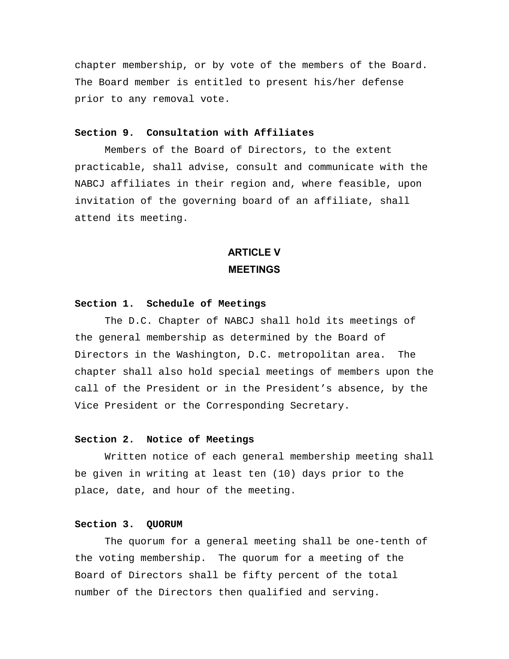chapter membership, or by vote of the members of the Board. The Board member is entitled to present his/her defense prior to any removal vote.

# **Section 9. Consultation with Affiliates**

 Members of the Board of Directors, to the extent practicable, shall advise, consult and communicate with the NABCJ affiliates in their region and, where feasible, upon invitation of the governing board of an affiliate, shall attend its meeting.

# **ARTICLE V MEETINGS**

# **Section 1. Schedule of Meetings**

 The D.C. Chapter of NABCJ shall hold its meetings of the general membership as determined by the Board of Directors in the Washington, D.C. metropolitan area. The chapter shall also hold special meetings of members upon the call of the President or in the President's absence, by the Vice President or the Corresponding Secretary.

#### **Section 2. Notice of Meetings**

 Written notice of each general membership meeting shall be given in writing at least ten (10) days prior to the place, date, and hour of the meeting.

#### **Section 3. QUORUM**

 The quorum for a general meeting shall be one-tenth of the voting membership. The quorum for a meeting of the Board of Directors shall be fifty percent of the total number of the Directors then qualified and serving.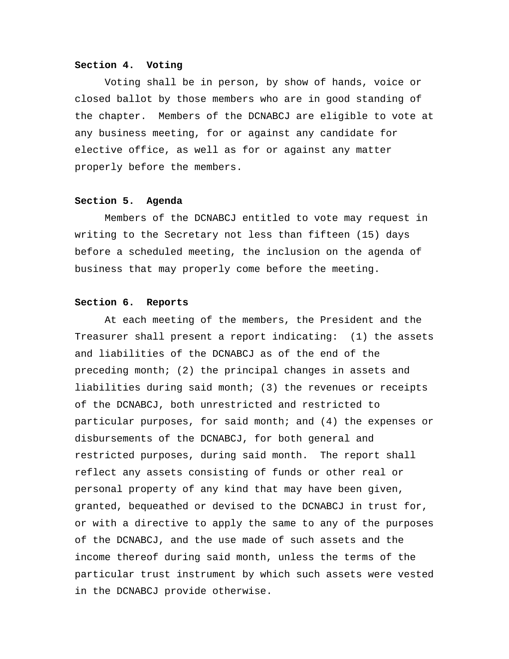#### **Section 4. Voting**

 Voting shall be in person, by show of hands, voice or closed ballot by those members who are in good standing of the chapter. Members of the DCNABCJ are eligible to vote at any business meeting, for or against any candidate for elective office, as well as for or against any matter properly before the members.

# **Section 5. Agenda**

 Members of the DCNABCJ entitled to vote may request in writing to the Secretary not less than fifteen (15) days before a scheduled meeting, the inclusion on the agenda of business that may properly come before the meeting.

#### **Section 6. Reports**

 At each meeting of the members, the President and the Treasurer shall present a report indicating: (1) the assets and liabilities of the DCNABCJ as of the end of the preceding month; (2) the principal changes in assets and liabilities during said month; (3) the revenues or receipts of the DCNABCJ, both unrestricted and restricted to particular purposes, for said month; and (4) the expenses or disbursements of the DCNABCJ, for both general and restricted purposes, during said month. The report shall reflect any assets consisting of funds or other real or personal property of any kind that may have been given, granted, bequeathed or devised to the DCNABCJ in trust for, or with a directive to apply the same to any of the purposes of the DCNABCJ, and the use made of such assets and the income thereof during said month, unless the terms of the particular trust instrument by which such assets were vested in the DCNABCJ provide otherwise.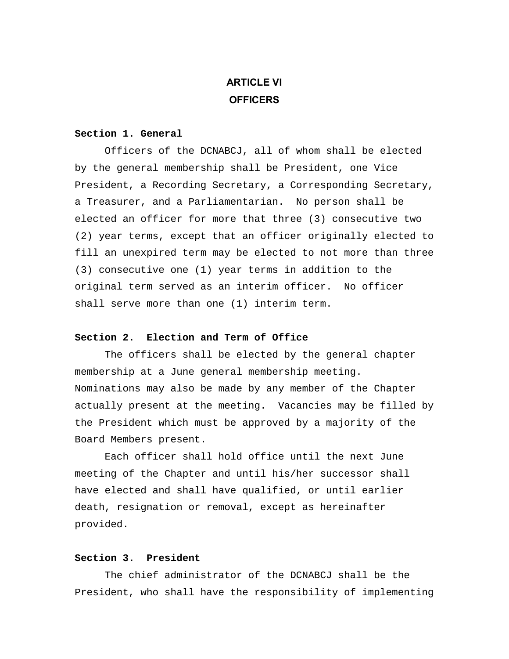# **ARTICLE VI OFFICERS**

#### **Section 1. General**

 Officers of the DCNABCJ, all of whom shall be elected by the general membership shall be President, one Vice President, a Recording Secretary, a Corresponding Secretary, a Treasurer, and a Parliamentarian. No person shall be elected an officer for more that three (3) consecutive two (2) year terms, except that an officer originally elected to fill an unexpired term may be elected to not more than three (3) consecutive one (1) year terms in addition to the original term served as an interim officer. No officer shall serve more than one (1) interim term.

# **Section 2. Election and Term of Office**

 The officers shall be elected by the general chapter membership at a June general membership meeting. Nominations may also be made by any member of the Chapter actually present at the meeting. Vacancies may be filled by the President which must be approved by a majority of the Board Members present.

 Each officer shall hold office until the next June meeting of the Chapter and until his/her successor shall have elected and shall have qualified, or until earlier death, resignation or removal, except as hereinafter provided.

# **Section 3. President**

 The chief administrator of the DCNABCJ shall be the President, who shall have the responsibility of implementing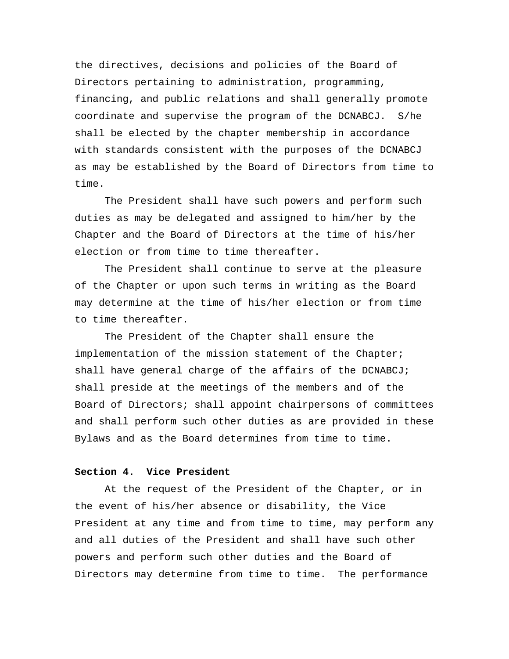the directives, decisions and policies of the Board of Directors pertaining to administration, programming, financing, and public relations and shall generally promote coordinate and supervise the program of the DCNABCJ. S/he shall be elected by the chapter membership in accordance with standards consistent with the purposes of the DCNABCJ as may be established by the Board of Directors from time to time.

 The President shall have such powers and perform such duties as may be delegated and assigned to him/her by the Chapter and the Board of Directors at the time of his/her election or from time to time thereafter.

 The President shall continue to serve at the pleasure of the Chapter or upon such terms in writing as the Board may determine at the time of his/her election or from time to time thereafter.

 The President of the Chapter shall ensure the implementation of the mission statement of the Chapter; shall have general charge of the affairs of the DCNABCJ; shall preside at the meetings of the members and of the Board of Directors; shall appoint chairpersons of committees and shall perform such other duties as are provided in these Bylaws and as the Board determines from time to time.

#### **Section 4. Vice President**

 At the request of the President of the Chapter, or in the event of his/her absence or disability, the Vice President at any time and from time to time, may perform any and all duties of the President and shall have such other powers and perform such other duties and the Board of Directors may determine from time to time. The performance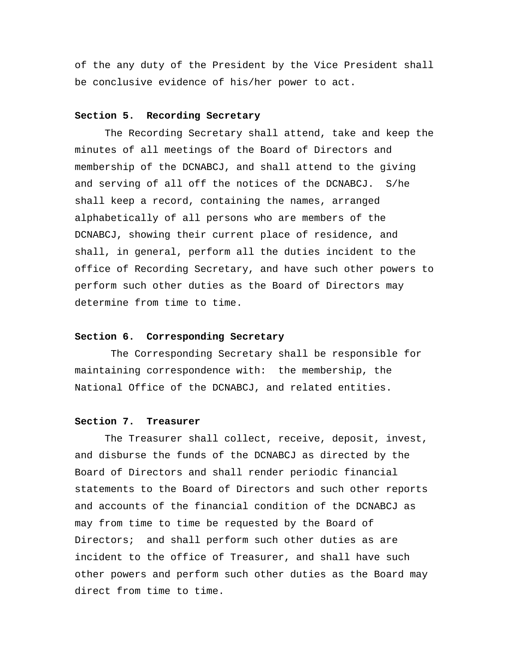of the any duty of the President by the Vice President shall be conclusive evidence of his/her power to act.

#### **Section 5. Recording Secretary**

 The Recording Secretary shall attend, take and keep the minutes of all meetings of the Board of Directors and membership of the DCNABCJ, and shall attend to the giving and serving of all off the notices of the DCNABCJ. S/he shall keep a record, containing the names, arranged alphabetically of all persons who are members of the DCNABCJ, showing their current place of residence, and shall, in general, perform all the duties incident to the office of Recording Secretary, and have such other powers to perform such other duties as the Board of Directors may determine from time to time.

#### **Section 6. Corresponding Secretary**

 The Corresponding Secretary shall be responsible for maintaining correspondence with: the membership, the National Office of the DCNABCJ, and related entities.

# **Section 7. Treasurer**

 The Treasurer shall collect, receive, deposit, invest, and disburse the funds of the DCNABCJ as directed by the Board of Directors and shall render periodic financial statements to the Board of Directors and such other reports and accounts of the financial condition of the DCNABCJ as may from time to time be requested by the Board of Directors; and shall perform such other duties as are incident to the office of Treasurer, and shall have such other powers and perform such other duties as the Board may direct from time to time.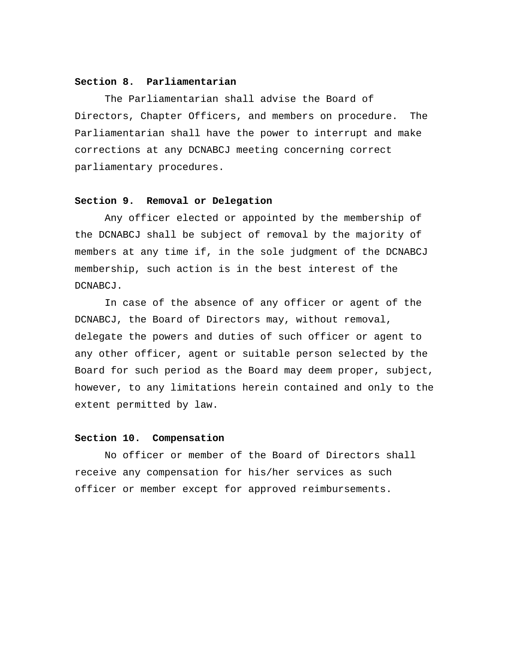# **Section 8. Parliamentarian**

 The Parliamentarian shall advise the Board of Directors, Chapter Officers, and members on procedure. The Parliamentarian shall have the power to interrupt and make corrections at any DCNABCJ meeting concerning correct parliamentary procedures.

# **Section 9. Removal or Delegation**

 Any officer elected or appointed by the membership of the DCNABCJ shall be subject of removal by the majority of members at any time if, in the sole judgment of the DCNABCJ membership, such action is in the best interest of the DCNABCJ.

 In case of the absence of any officer or agent of the DCNABCJ, the Board of Directors may, without removal, delegate the powers and duties of such officer or agent to any other officer, agent or suitable person selected by the Board for such period as the Board may deem proper, subject, however, to any limitations herein contained and only to the extent permitted by law.

#### **Section 10. Compensation**

 No officer or member of the Board of Directors shall receive any compensation for his/her services as such officer or member except for approved reimbursements.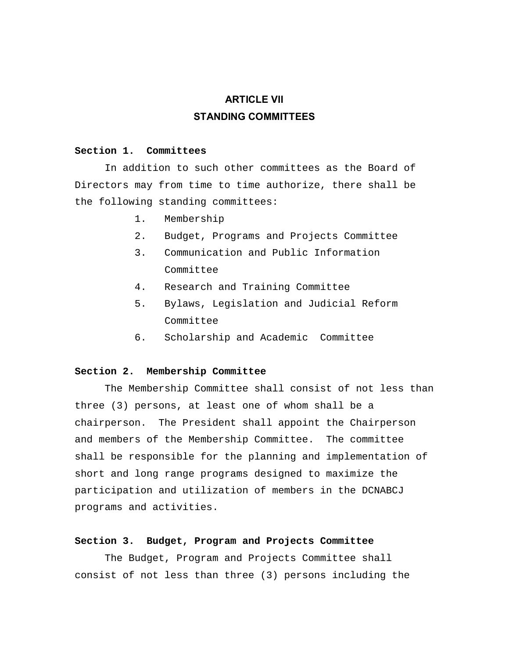# **ARTICLE VII STANDING COMMITTEES**

# **Section 1. Committees**

 In addition to such other committees as the Board of Directors may from time to time authorize, there shall be the following standing committees:

- 1. Membership
- 2. Budget, Programs and Projects Committee
- 3. Communication and Public Information Committee
- 4. Research and Training Committee
- 5. Bylaws, Legislation and Judicial Reform Committee
- 6. Scholarship and Academic Committee

#### **Section 2. Membership Committee**

 The Membership Committee shall consist of not less than three (3) persons, at least one of whom shall be a chairperson. The President shall appoint the Chairperson and members of the Membership Committee. The committee shall be responsible for the planning and implementation of short and long range programs designed to maximize the participation and utilization of members in the DCNABCJ programs and activities.

# **Section 3. Budget, Program and Projects Committee**

 The Budget, Program and Projects Committee shall consist of not less than three (3) persons including the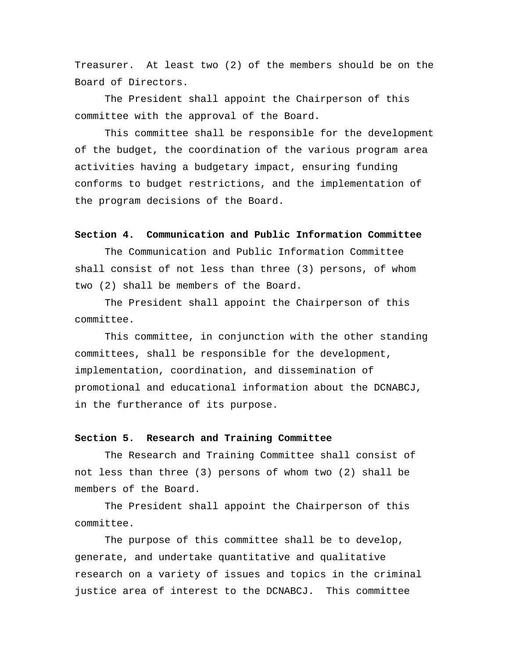Treasurer. At least two (2) of the members should be on the Board of Directors.

 The President shall appoint the Chairperson of this committee with the approval of the Board.

 This committee shall be responsible for the development of the budget, the coordination of the various program area activities having a budgetary impact, ensuring funding conforms to budget restrictions, and the implementation of the program decisions of the Board.

#### **Section 4. Communication and Public Information Committee**

 The Communication and Public Information Committee shall consist of not less than three (3) persons, of whom two (2) shall be members of the Board.

 The President shall appoint the Chairperson of this committee.

 This committee, in conjunction with the other standing committees, shall be responsible for the development, implementation, coordination, and dissemination of promotional and educational information about the DCNABCJ, in the furtherance of its purpose.

#### **Section 5. Research and Training Committee**

 The Research and Training Committee shall consist of not less than three (3) persons of whom two (2) shall be members of the Board.

 The President shall appoint the Chairperson of this committee.

 The purpose of this committee shall be to develop, generate, and undertake quantitative and qualitative research on a variety of issues and topics in the criminal justice area of interest to the DCNABCJ. This committee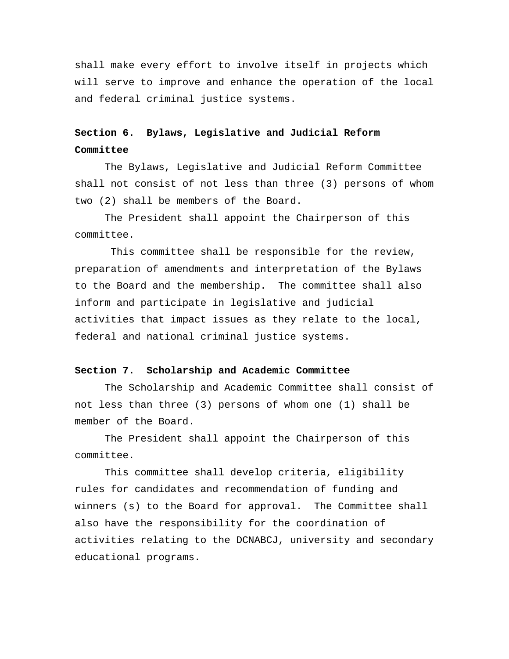shall make every effort to involve itself in projects which will serve to improve and enhance the operation of the local and federal criminal justice systems.

# **Section 6. Bylaws, Legislative and Judicial Reform Committee**

 The Bylaws, Legislative and Judicial Reform Committee shall not consist of not less than three (3) persons of whom two (2) shall be members of the Board.

 The President shall appoint the Chairperson of this committee.

 This committee shall be responsible for the review, preparation of amendments and interpretation of the Bylaws to the Board and the membership. The committee shall also inform and participate in legislative and judicial activities that impact issues as they relate to the local, federal and national criminal justice systems.

#### **Section 7. Scholarship and Academic Committee**

 The Scholarship and Academic Committee shall consist of not less than three (3) persons of whom one (1) shall be member of the Board.

 The President shall appoint the Chairperson of this committee.

 This committee shall develop criteria, eligibility rules for candidates and recommendation of funding and winners (s) to the Board for approval. The Committee shall also have the responsibility for the coordination of activities relating to the DCNABCJ, university and secondary educational programs.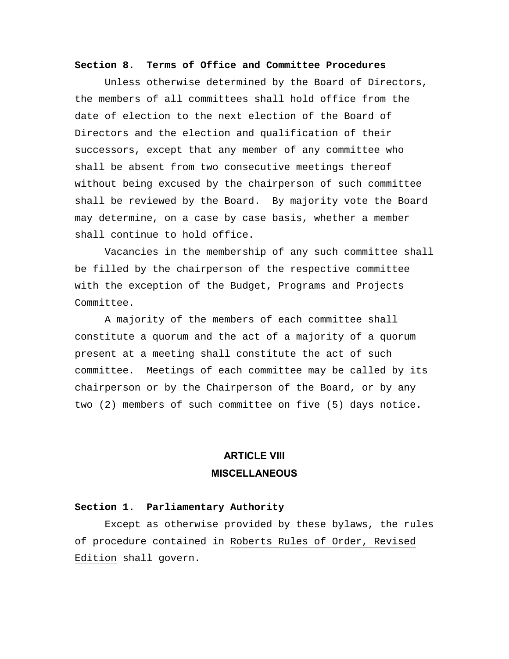#### **Section 8. Terms of Office and Committee Procedures**

 Unless otherwise determined by the Board of Directors, the members of all committees shall hold office from the date of election to the next election of the Board of Directors and the election and qualification of their successors, except that any member of any committee who shall be absent from two consecutive meetings thereof without being excused by the chairperson of such committee shall be reviewed by the Board. By majority vote the Board may determine, on a case by case basis, whether a member shall continue to hold office.

 Vacancies in the membership of any such committee shall be filled by the chairperson of the respective committee with the exception of the Budget, Programs and Projects Committee.

 A majority of the members of each committee shall constitute a quorum and the act of a majority of a quorum present at a meeting shall constitute the act of such committee. Meetings of each committee may be called by its chairperson or by the Chairperson of the Board, or by any two (2) members of such committee on five (5) days notice.

# **ARTICLE VIII MISCELLANEOUS**

#### **Section 1. Parliamentary Authority**

Except as otherwise provided by these bylaws, the rules of procedure contained in Roberts Rules of Order, Revised Edition shall govern.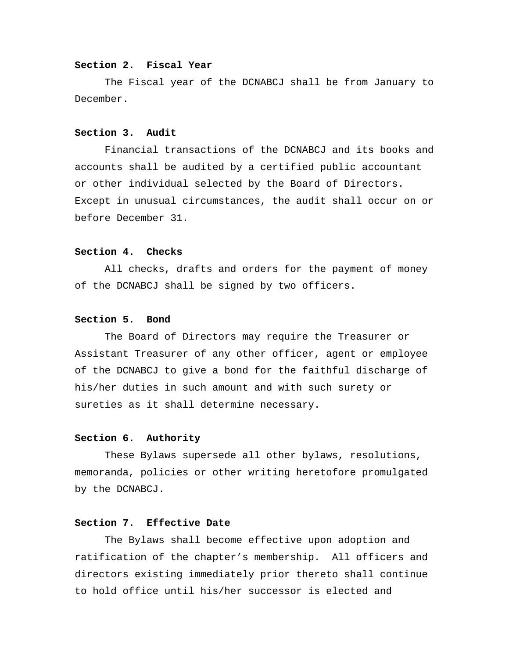#### **Section 2. Fiscal Year**

 The Fiscal year of the DCNABCJ shall be from January to December.

### **Section 3. Audit**

 Financial transactions of the DCNABCJ and its books and accounts shall be audited by a certified public accountant or other individual selected by the Board of Directors. Except in unusual circumstances, the audit shall occur on or before December 31.

### **Section 4. Checks**

 All checks, drafts and orders for the payment of money of the DCNABCJ shall be signed by two officers.

#### **Section 5. Bond**

 The Board of Directors may require the Treasurer or Assistant Treasurer of any other officer, agent or employee of the DCNABCJ to give a bond for the faithful discharge of his/her duties in such amount and with such surety or sureties as it shall determine necessary.

# **Section 6. Authority**

 These Bylaws supersede all other bylaws, resolutions, memoranda, policies or other writing heretofore promulgated by the DCNABCJ.

# **Section 7. Effective Date**

 The Bylaws shall become effective upon adoption and ratification of the chapter's membership. All officers and directors existing immediately prior thereto shall continue to hold office until his/her successor is elected and